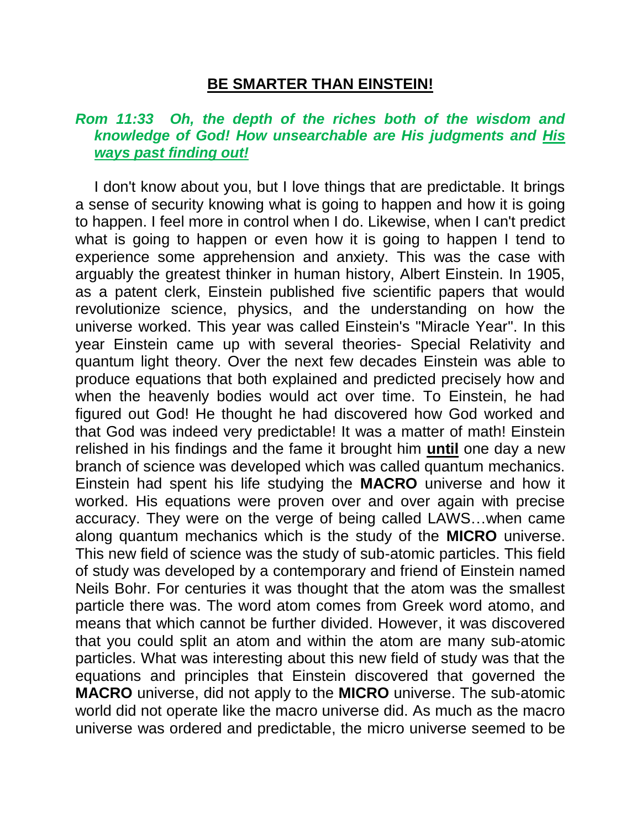## **BE SMARTER THAN EINSTEIN!**

## *Rom 11:33 Oh, the depth of the riches both of the wisdom and knowledge of God! How unsearchable are His judgments and His ways past finding out!*

I don't know about you, but I love things that are predictable. It brings a sense of security knowing what is going to happen and how it is going to happen. I feel more in control when I do. Likewise, when I can't predict what is going to happen or even how it is going to happen I tend to experience some apprehension and anxiety. This was the case with arguably the greatest thinker in human history, Albert Einstein. In 1905, as a patent clerk, Einstein published five scientific papers that would revolutionize science, physics, and the understanding on how the universe worked. This year was called Einstein's "Miracle Year". In this year Einstein came up with several theories- Special Relativity and quantum light theory. Over the next few decades Einstein was able to produce equations that both explained and predicted precisely how and when the heavenly bodies would act over time. To Einstein, he had figured out God! He thought he had discovered how God worked and that God was indeed very predictable! It was a matter of math! Einstein relished in his findings and the fame it brought him **until** one day a new branch of science was developed which was called quantum mechanics. Einstein had spent his life studying the **MACRO** universe and how it worked. His equations were proven over and over again with precise accuracy. They were on the verge of being called LAWS…when came along quantum mechanics which is the study of the **MICRO** universe. This new field of science was the study of sub-atomic particles. This field of study was developed by a contemporary and friend of Einstein named Neils Bohr. For centuries it was thought that the atom was the smallest particle there was. The word atom comes from Greek word atomo, and means that which cannot be further divided. However, it was discovered that you could split an atom and within the atom are many sub-atomic particles. What was interesting about this new field of study was that the equations and principles that Einstein discovered that governed the **MACRO** universe, did not apply to the **MICRO** universe. The sub-atomic world did not operate like the macro universe did. As much as the macro universe was ordered and predictable, the micro universe seemed to be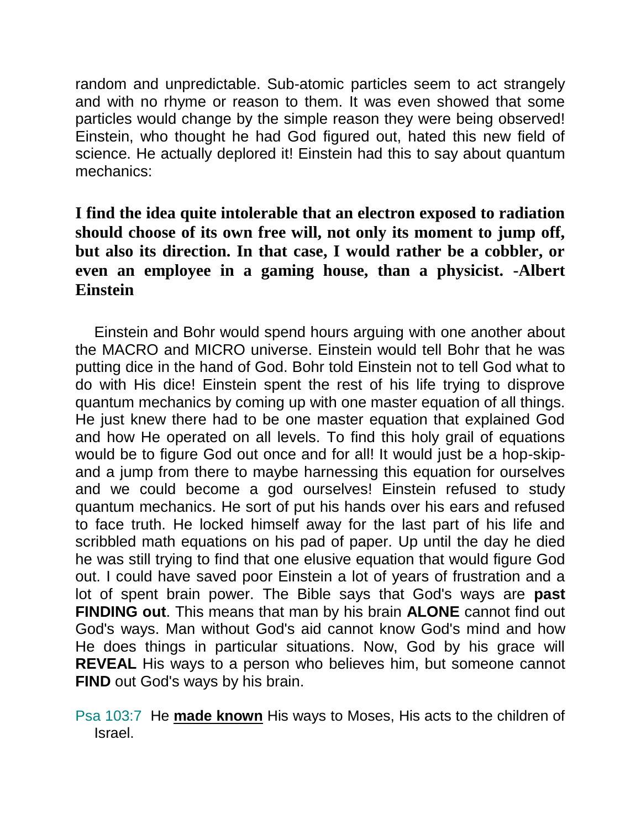random and unpredictable. Sub-atomic particles seem to act strangely and with no rhyme or reason to them. It was even showed that some particles would change by the simple reason they were being observed! Einstein, who thought he had God figured out, hated this new field of science. He actually deplored it! Einstein had this to say about quantum mechanics:

## **I find the idea quite intolerable that an electron exposed to radiation should choose of its own free will, not only its moment to jump off, but also its direction. In that case, I would rather be a cobbler, or even an employee in a gaming house, than a physicist. -Albert Einstein**

Einstein and Bohr would spend hours arguing with one another about the MACRO and MICRO universe. Einstein would tell Bohr that he was putting dice in the hand of God. Bohr told Einstein not to tell God what to do with His dice! Einstein spent the rest of his life trying to disprove quantum mechanics by coming up with one master equation of all things. He just knew there had to be one master equation that explained God and how He operated on all levels. To find this holy grail of equations would be to figure God out once and for all! It would just be a hop-skipand a jump from there to maybe harnessing this equation for ourselves and we could become a god ourselves! Einstein refused to study quantum mechanics. He sort of put his hands over his ears and refused to face truth. He locked himself away for the last part of his life and scribbled math equations on his pad of paper. Up until the day he died he was still trying to find that one elusive equation that would figure God out. I could have saved poor Einstein a lot of years of frustration and a lot of spent brain power. The Bible says that God's ways are **past FINDING out**. This means that man by his brain **ALONE** cannot find out God's ways. Man without God's aid cannot know God's mind and how He does things in particular situations. Now, God by his grace will **REVEAL** His ways to a person who believes him, but someone cannot **FIND** out God's ways by his brain.

Psa 103:7 He **made known** His ways to Moses, His acts to the children of Israel.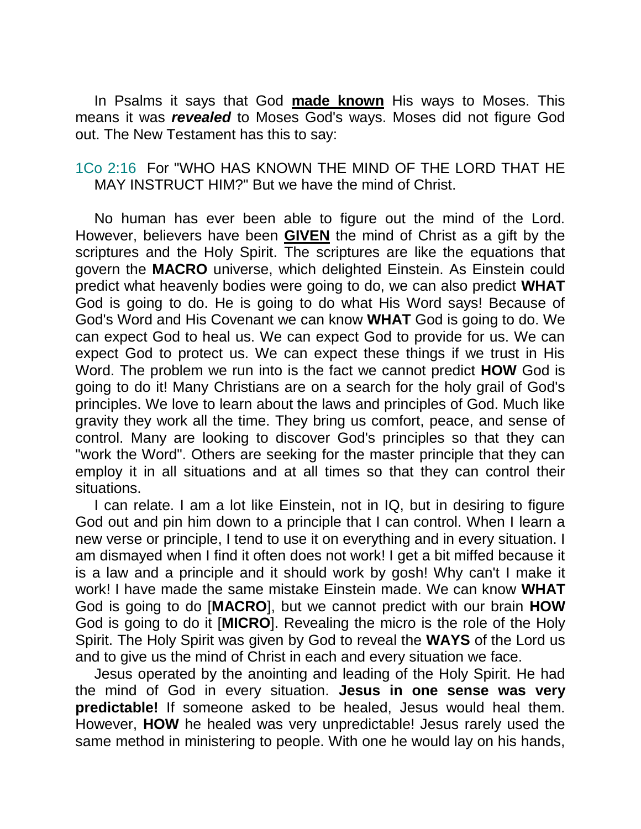In Psalms it says that God **made known** His ways to Moses. This means it was *revealed* to Moses God's ways. Moses did not figure God out. The New Testament has this to say:

1Co 2:16 For "WHO HAS KNOWN THE MIND OF THE LORD THAT HE MAY INSTRUCT HIM?" But we have the mind of Christ.

No human has ever been able to figure out the mind of the Lord. However, believers have been **GIVEN** the mind of Christ as a gift by the scriptures and the Holy Spirit. The scriptures are like the equations that govern the **MACRO** universe, which delighted Einstein. As Einstein could predict what heavenly bodies were going to do, we can also predict **WHAT** God is going to do. He is going to do what His Word says! Because of God's Word and His Covenant we can know **WHAT** God is going to do. We can expect God to heal us. We can expect God to provide for us. We can expect God to protect us. We can expect these things if we trust in His Word. The problem we run into is the fact we cannot predict **HOW** God is going to do it! Many Christians are on a search for the holy grail of God's principles. We love to learn about the laws and principles of God. Much like gravity they work all the time. They bring us comfort, peace, and sense of control. Many are looking to discover God's principles so that they can "work the Word". Others are seeking for the master principle that they can employ it in all situations and at all times so that they can control their situations.

I can relate. I am a lot like Einstein, not in IQ, but in desiring to figure God out and pin him down to a principle that I can control. When I learn a new verse or principle, I tend to use it on everything and in every situation. I am dismayed when I find it often does not work! I get a bit miffed because it is a law and a principle and it should work by gosh! Why can't I make it work! I have made the same mistake Einstein made. We can know **WHAT** God is going to do [**MACRO**], but we cannot predict with our brain **HOW** God is going to do it [**MICRO**]. Revealing the micro is the role of the Holy Spirit. The Holy Spirit was given by God to reveal the **WAYS** of the Lord us and to give us the mind of Christ in each and every situation we face.

Jesus operated by the anointing and leading of the Holy Spirit. He had the mind of God in every situation. **Jesus in one sense was very predictable!** If someone asked to be healed, Jesus would heal them. However, **HOW** he healed was very unpredictable! Jesus rarely used the same method in ministering to people. With one he would lay on his hands,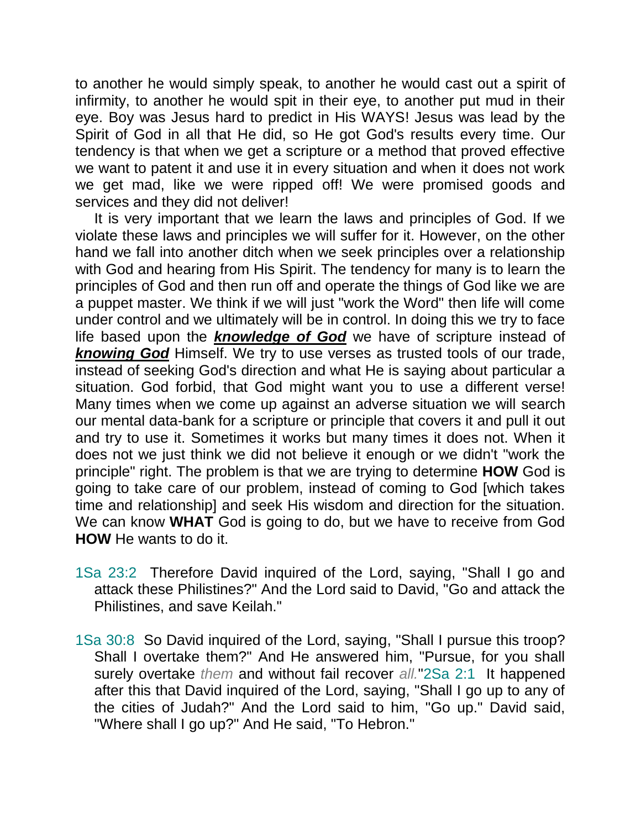to another he would simply speak, to another he would cast out a spirit of infirmity, to another he would spit in their eye, to another put mud in their eye. Boy was Jesus hard to predict in His WAYS! Jesus was lead by the Spirit of God in all that He did, so He got God's results every time. Our tendency is that when we get a scripture or a method that proved effective we want to patent it and use it in every situation and when it does not work we get mad, like we were ripped off! We were promised goods and services and they did not deliver!

It is very important that we learn the laws and principles of God. If we violate these laws and principles we will suffer for it. However, on the other hand we fall into another ditch when we seek principles over a relationship with God and hearing from His Spirit. The tendency for many is to learn the principles of God and then run off and operate the things of God like we are a puppet master. We think if we will just "work the Word" then life will come under control and we ultimately will be in control. In doing this we try to face life based upon the *knowledge of God* we have of scripture instead of *knowing God* Himself. We try to use verses as trusted tools of our trade, instead of seeking God's direction and what He is saying about particular a situation. God forbid, that God might want you to use a different verse! Many times when we come up against an adverse situation we will search our mental data-bank for a scripture or principle that covers it and pull it out and try to use it. Sometimes it works but many times it does not. When it does not we just think we did not believe it enough or we didn't "work the principle" right. The problem is that we are trying to determine **HOW** God is going to take care of our problem, instead of coming to God [which takes time and relationship] and seek His wisdom and direction for the situation. We can know **WHAT** God is going to do, but we have to receive from God **HOW** He wants to do it.

- 1Sa 23:2 Therefore David inquired of the Lord, saying, "Shall I go and attack these Philistines?" And the Lord said to David, "Go and attack the Philistines, and save Keilah."
- 1Sa 30:8 So David inquired of the Lord, saying, "Shall I pursue this troop? Shall I overtake them?" And He answered him, "Pursue, for you shall surely overtake *them* and without fail recover *all.*"2Sa 2:1 It happened after this that David inquired of the Lord, saying, "Shall I go up to any of the cities of Judah?" And the Lord said to him, "Go up." David said, "Where shall I go up?" And He said, "To Hebron."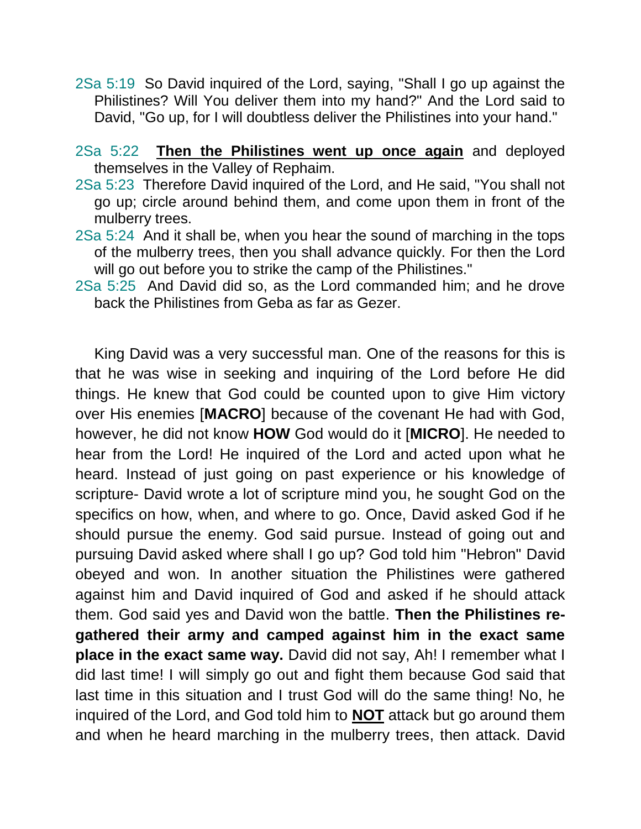- 2Sa 5:19 So David inquired of the Lord, saying, "Shall I go up against the Philistines? Will You deliver them into my hand?" And the Lord said to David, "Go up, for I will doubtless deliver the Philistines into your hand."
- 2Sa 5:22 **Then the Philistines went up once again** and deployed themselves in the Valley of Rephaim.
- 2Sa 5:23 Therefore David inquired of the Lord, and He said, "You shall not go up; circle around behind them, and come upon them in front of the mulberry trees.
- 2Sa 5:24 And it shall be, when you hear the sound of marching in the tops of the mulberry trees, then you shall advance quickly. For then the Lord will go out before you to strike the camp of the Philistines."
- 2Sa 5:25 And David did so, as the Lord commanded him; and he drove back the Philistines from Geba as far as Gezer.

King David was a very successful man. One of the reasons for this is that he was wise in seeking and inquiring of the Lord before He did things. He knew that God could be counted upon to give Him victory over His enemies [**MACRO**] because of the covenant He had with God, however, he did not know **HOW** God would do it [**MICRO**]. He needed to hear from the Lord! He inquired of the Lord and acted upon what he heard. Instead of just going on past experience or his knowledge of scripture- David wrote a lot of scripture mind you, he sought God on the specifics on how, when, and where to go. Once, David asked God if he should pursue the enemy. God said pursue. Instead of going out and pursuing David asked where shall I go up? God told him "Hebron" David obeyed and won. In another situation the Philistines were gathered against him and David inquired of God and asked if he should attack them. God said yes and David won the battle. **Then the Philistines regathered their army and camped against him in the exact same place in the exact same way.** David did not say, Ah! I remember what I did last time! I will simply go out and fight them because God said that last time in this situation and I trust God will do the same thing! No, he inquired of the Lord, and God told him to **NOT** attack but go around them and when he heard marching in the mulberry trees, then attack. David